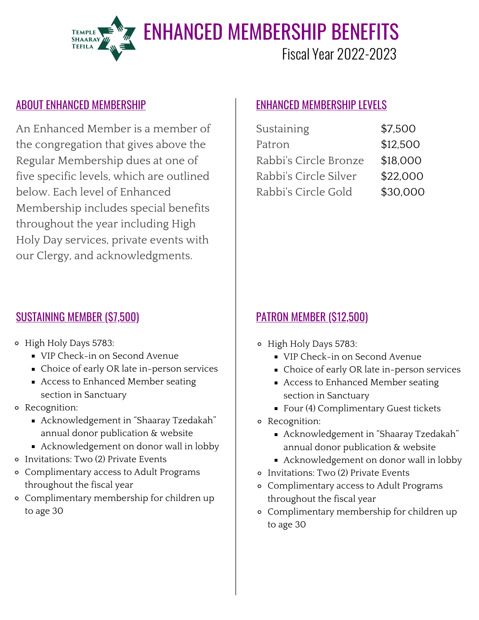

#### ABOUT ENHANCED MEMBERSHIP ENHANCED MEMBERSHIP LEVELS

An Enhanced Member is a member of the congregation that gives above the Regular Membership dues at one of five specific levels, which are outlined below. Each level of Enhanced Membership includes special benefits throughout the year including High Holy Day services, private events with our Clergy, and acknowledgments.

### SUSTAINING MEMBER (\$7,500)

- High Holy Days 5783:
	- **VIP Check-in on Second Avenue**
	- **Choice of early OR late in-person services**
	- Access to Enhanced Member seating section in Sanctuary
- Recognition:
	- Acknowledgement in "Shaaray Tzedakah" annual donor publication & website
	- Acknowledgement on donor wall in lobby
- Invitations: Two (2) Private Events
- Complimentary access to Adult Programs throughout the fiscal year
- Complimentary membership for children up to age 30

| Sustaining            | \$7,500  |
|-----------------------|----------|
| Patron                | \$12,500 |
| Rabbi's Circle Bronze | \$18,000 |
| Rabbi's Circle Silver | \$22.000 |
| Rabbi's Circle Gold   | \$30,000 |

## PATRON MEMBER (\$12,500)

- High Holy Days 5783:
	- **VIP Check-in on Second Avenue**
	- **Choice of early OR late in-person services**
	- Access to Enhanced Member seating section in Sanctuary
	- Four (4) Complimentary Guest tickets
- Recognition:
	- Acknowledgement in "Shaaray Tzedakah" annual donor publication & website
	- Acknowledgement on donor wall in lobby
- Invitations: Two (2) Private Events
- Complimentary access to Adult Programs throughout the fiscal year
- Complimentary membership for children up to age 30